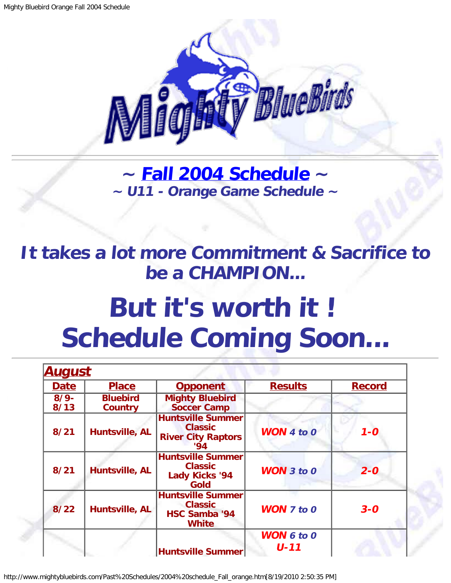

**~ [Fall 2004 Schedule](#page-1-0) ~ ~ U11 - Orange Game Schedule ~**

<span id="page-0-0"></span>**It takes a lot more Commitment & Sacrifice to be a CHAMPION...**

## **But it's worth it ! Schedule Coming Soon...**

| <u>August</u>   |                                   |                                                                                    |                               |               |
|-----------------|-----------------------------------|------------------------------------------------------------------------------------|-------------------------------|---------------|
| <b>Date</b>     | <b>Place</b>                      | <b>Opponent</b>                                                                    | <b>Results</b>                | <b>Record</b> |
| $8/9 -$<br>8/13 | <b>Bluebird</b><br><b>Country</b> | <b>Mighty Bluebird</b><br><b>Soccer Camp</b>                                       |                               |               |
| 8/21            | Huntsville, AL                    | <b>Huntsville Summer</b><br><b>Classic</b><br><b>River City Raptors</b><br>'94     | <b>WON 4 to 0</b>             | $1 - 0$       |
| 8/21            | Huntsville, AL                    | <b>Huntsville Summer</b><br><b>Classic</b><br><b>Lady Kicks '94</b><br><b>Gold</b> | <b>WON</b> $3$ to $0$         | $2 - 0$       |
| 8/22            | Huntsville, AL                    | <b>Huntsville Summer</b><br><b>Classic</b><br><b>HSC Samba '94</b><br><b>White</b> | <b>WON 7 to 0</b>             | $3 - 0$       |
|                 |                                   | <b>Huntsville Summer</b>                                                           | <b>WON 6 to 0</b><br>$U - 11$ |               |

http://www.mightybluebirds.com/Past%20Schedules/2004%20schedule\_Fall\_orange.htm[8/19/2010 2:50:35 PM]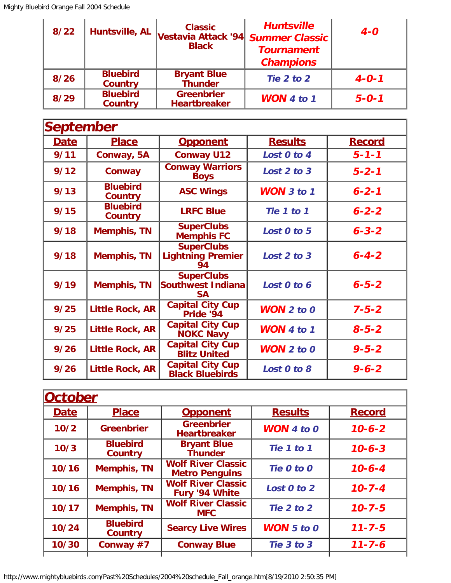| $8/22$ | Huntsville, AL                    | <b>Classic</b><br>Vestavia Attack '94 Summer Classic'<br><b>Black</b> | <b>Huntsville</b><br><b>Tournament</b><br><b>Champions</b> | $4 - 0$     |
|--------|-----------------------------------|-----------------------------------------------------------------------|------------------------------------------------------------|-------------|
| 8/26   | <b>Bluebird</b><br><b>Country</b> | <b>Bryant Blue</b><br><b>Thunder</b>                                  | Tie 2 to 2                                                 | $4 - 0 - 1$ |
| 8/29   | <b>Bluebird</b><br><b>Country</b> | <b>Greenbrier</b><br><b>Heartbreaker</b>                              | <b>WON</b> 4 to 1                                          | $5 - 0 - 1$ |

<span id="page-1-0"></span>

| <b>September</b> |                                   |                                                            |                   |               |
|------------------|-----------------------------------|------------------------------------------------------------|-------------------|---------------|
| <b>Date</b>      | <b>Place</b>                      | <b>Opponent</b>                                            | <b>Results</b>    | <b>Record</b> |
| 9/11             | Conway, 5A                        | <b>Conway U12</b>                                          | Lost 0 to 4       | $5 - 1 - 1$   |
| 9/12             | <b>Conway</b>                     | <b>Conway Warriors</b><br><b>Boys</b>                      | Lost 2 to 3       | $5 - 2 - 1$   |
| 9/13             | <b>Bluebird</b><br><b>Country</b> | <b>ASC Wings</b>                                           | <b>WON</b> 3 to 1 | $6 - 2 - 1$   |
| 9/15             | <b>Bluebird</b><br><b>Country</b> | <b>LRFC Blue</b>                                           | Tie 1 to 1        | $6 - 2 - 2$   |
| 9/18             | <b>Memphis, TN</b>                | <b>SuperClubs</b><br><b>Memphis FC</b>                     | Lost 0 to 5       | $6 - 3 - 2$   |
| 9/18             | <b>Memphis, TN</b>                | <b>SuperClubs</b><br><b>Lightning Premier</b><br>94        | Lost 2 to 3       | $6 - 4 - 2$   |
| 9/19             | <b>Memphis, TN</b>                | <b>SuperClubs</b><br><b>Southwest Indiana</b><br><b>SA</b> | Lost 0 to 6       | $6 - 5 - 2$   |
| 9/25             | <b>Little Rock, AR</b>            | <b>Capital City Cup</b><br>Pride '94                       | $WON$ 2 to 0      | $7 - 5 - 2$   |
| 9/25             | <b>Little Rock, AR</b>            | <b>Capital City Cup</b><br><b>NOKC Navy</b>                | WON 4 to 1        | $8 - 5 - 2$   |
| 9/26             | <b>Little Rock, AR</b>            | <b>Capital City Cup</b><br><b>Blitz United</b>             | <b>WON</b> 2 to 0 | $9 - 5 - 2$   |
| 9/26             | <b>Little Rock, AR</b>            | <b>Capital City Cup</b><br><b>Black Bluebirds</b>          | Lost 0 to 8       | $9 - 6 - 2$   |

| <b>October</b> |                                   |                                                    |                       |               |
|----------------|-----------------------------------|----------------------------------------------------|-----------------------|---------------|
| <b>Date</b>    | <b>Place</b>                      | <b>Opponent</b>                                    | <b>Results</b>        | <b>Record</b> |
| 10/2           | <b>Greenbrier</b>                 | <b>Greenbrier</b><br><b>Heartbreaker</b>           | <b>WON</b> 4 to $0$   | $10 - 6 - 2$  |
| 10/3           | <b>Bluebird</b><br><b>Country</b> | <b>Bryant Blue</b><br><b>Thunder</b>               | Tie 1 to 1            | $10 - 6 - 3$  |
| 10/16          | <b>Memphis, TN</b>                | <b>Wolf River Classic</b><br><b>Metro Penguins</b> | Tie 0 to 0            | $10 - 6 - 4$  |
| 10/16          | <b>Memphis, TN</b>                | <b>Wolf River Classic</b><br>Fury '94 White        | Lost 0 to 2           | $10 - 7 - 4$  |
| 10/17          | <b>Memphis, TN</b>                | <b>Wolf River Classic</b><br><b>MFC</b>            | Tie 2 to 2            | $10 - 7 - 5$  |
| 10/24          | <b>Bluebird</b><br><b>Country</b> | <b>Searcy Live Wires</b>                           | <b>WON</b> $5$ to $0$ | $11 - 7 - 5$  |
| 10/30          | Conway #7                         | <b>Conway Blue</b>                                 | Tie 3 to 3            | $11 - 7 - 6$  |
|                |                                   |                                                    |                       |               |

http://www.mightybluebirds.com/Past%20Schedules/2004%20schedule\_Fall\_orange.htm[8/19/2010 2:50:35 PM]